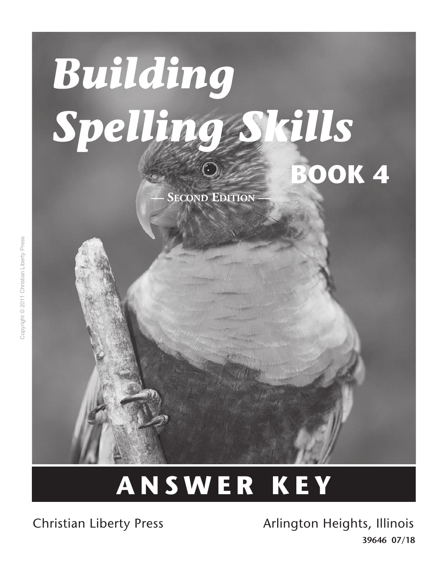# *Building Spelling Skills* **Book 4**

**SECOND EDITION** 

## **ANSWER K E Y**

Christian Liberty Press **Arlington Heights, Illinois 39646 07/18**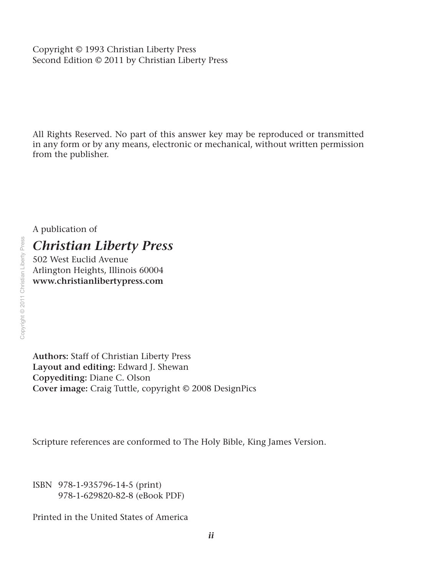Copyright © 1993 Christian Liberty Press Second Edition © 2011 by Christian Liberty Press

All Rights Reserved. No part of this answer key may be reproduced or transmitted in any form or by any means, electronic or mechanical, without written permission from the publisher.

A publication of

#### *Christian Liberty Press*

502 West Euclid Avenue Arlington Heights, Illinois 60004 **www.christianlibertypress.com**

**Authors:** Staff of Christian Liberty Press **Layout and editing:** Edward J. Shewan **Copyediting:** Diane C. Olson **Cover image:** Craig Tuttle, copyright © 2008 DesignPics

Scripture references are conformed to The Holy Bible, King James Version.

ISBN 978-1-935796-14-5 (print) 978-1-629820-82-8 (eBook PDF)

Printed in the United States of America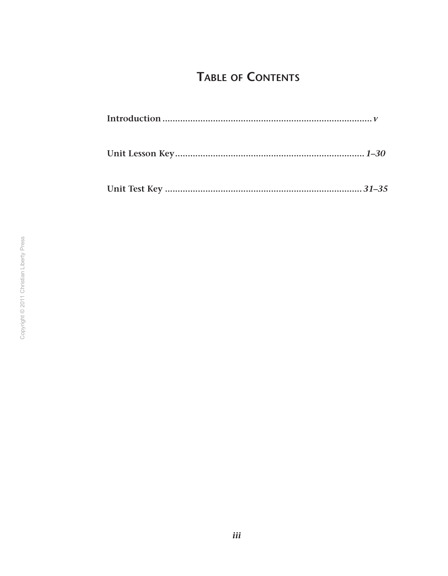### **TABLE OF CONTENTS**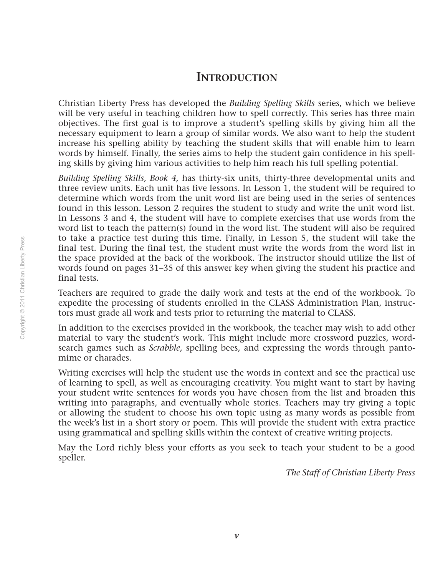#### **Introduction**

Christian Liberty Press has developed the *Building Spelling Skills* series, which we believe will be very useful in teaching children how to spell correctly. This series has three main objectives. The first goal is to improve a student's spelling skills by giving him all the necessary equipment to learn a group of similar words. We also want to help the student increase his spelling ability by teaching the student skills that will enable him to learn words by himself. Finally, the series aims to help the student gain confidence in his spelling skills by giving him various activities to help him reach his full spelling potential.

*Building Spelling Skills, Book 4,* has thirty-six units, thirty-three developmental units and three review units. Each unit has five lessons. In Lesson 1, the student will be required to determine which words from the unit word list are being used in the series of sentences found in this lesson. Lesson 2 requires the student to study and write the unit word list. In Lessons 3 and 4, the student will have to complete exercises that use words from the word list to teach the pattern(s) found in the word list. The student will also be required to take a practice test during this time. Finally, in Lesson 5, the student will take the final test. During the final test, the student must write the words from the word list in the space provided at the back of the workbook. The instructor should utilize the list of words found on pages 31–35 of this answer key when giving the student his practice and final tests.

Teachers are required to grade the daily work and tests at the end of the workbook. To expedite the processing of students enrolled in the CLASS Administration Plan, instructors must grade all work and tests prior to returning the material to CLASS.

In addition to the exercises provided in the workbook, the teacher may wish to add other material to vary the student's work. This might include more crossword puzzles, wordsearch games such as *Scrabble*, spelling bees, and expressing the words through pantomime or charades.

Writing exercises will help the student use the words in context and see the practical use of learning to spell, as well as encouraging creativity. You might want to start by having your student write sentences for words you have chosen from the list and broaden this writing into paragraphs, and eventually whole stories. Teachers may try giving a topic or allowing the student to choose his own topic using as many words as possible from the week's list in a short story or poem. This will provide the student with extra practice using grammatical and spelling skills within the context of creative writing projects.

May the Lord richly bless your efforts as you seek to teach your student to be a good speller.

*The Staff of Christian Liberty Press*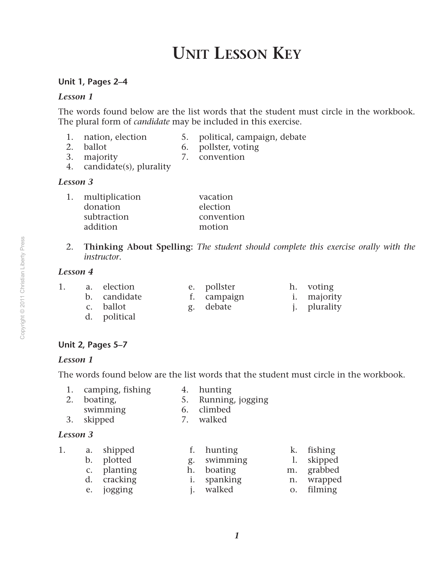## **Unit Lesson Key**

#### **Unit 1, Pages 2–4**

#### *Lesson 1*

The words found below are the list words that the student must circle in the workbook. The plural form of *candidate* may be included in this exercise.

- 
- 1. nation, election 5. political, campaign, debate
- 
- 2. ballot 6. pollster, voting
- 3. majority 7. convention 4. candidate(s), plurality

#### *Lesson 3*

- 1. multiplication vacation donation election subtraction convention addition motion
- 2. **Thinking About Spelling:** *The student should complete this exercise orally with the instructor*.

#### *Lesson 4*

- 1. a. election e. pollster h. voting b. candidate f. campaign i. majority c. ballot **g.** debate **j.** plurality
	- d. political

#### **Unit 2, Pages 5–7**

#### *Lesson 1*

The words found below are the list words that the student must circle in the workbook.

- 1. camping, fishing 4. hunting
- 2. boating, 5. Running, jogging
- 
- swimming 6. climbed
- 3. skipped 7. walked
- 

#### *Lesson 3*

|  | a. shipped  | f. hunting        | k. fishing |
|--|-------------|-------------------|------------|
|  | b. plotted  | g. swimming       | 1. skipped |
|  | c. planting | h. boating        | m. grabbed |
|  | d. cracking | i. spanking       | n. wrapped |
|  | e. jogging  | <i>i</i> . walked | o. filming |
|  |             |                   |            |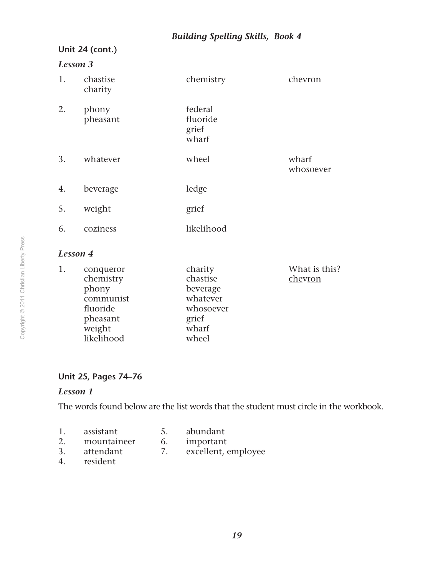#### *Building Spelling Skills, Book 4*

#### **Unit 24 (cont.)**

#### *Lesson 3*

| 1.              | chastise<br>charity | chemistry                             | chevron            |
|-----------------|---------------------|---------------------------------------|--------------------|
| 2.              | phony<br>pheasant   | federal<br>fluoride<br>grief<br>wharf |                    |
| 3.              | whatever            | wheel                                 | wharf<br>whosoever |
| 4.              | beverage            | ledge                                 |                    |
| 5.              | weight              | grief                                 |                    |
| 6.              | coziness            | likelihood                            |                    |
| <b>Lesson 4</b> |                     |                                       |                    |

| conqueror  | charity   | What is this? |
|------------|-----------|---------------|
| chemistry  | chastise  | chevron       |
| phony      | beverage  |               |
| communist  | whatever  |               |
| fluoride   | whosoever |               |
| pheasant   | grief     |               |
| weight     | wharf     |               |
| likelihood | wheel     |               |
|            |           |               |

#### **Unit 25, Pages 74–76**

#### *Lesson 1*

The words found below are the list words that the student must circle in the workbook.

- 1. assistant 5. abundant<br>2. mountaineer 6. important
- 2. mountaineer 6.<br>3. attendant 7.
- 3. attendant 7. excellent, employee
- 4. resident